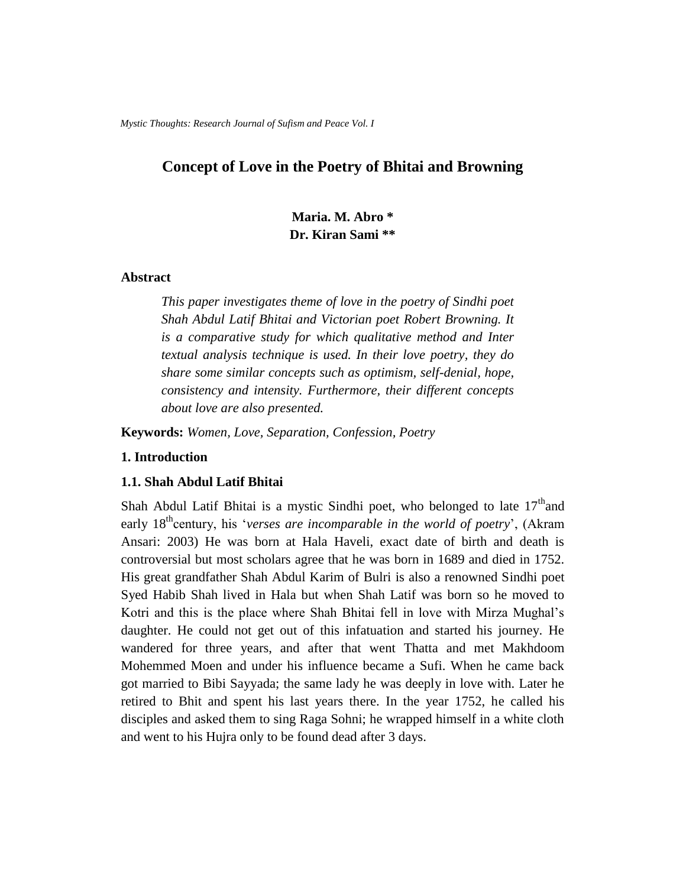*Mystic Thoughts: Research Journal of Sufism and Peace Vol. I*

# **Concept of Love in the Poetry of Bhitai and Browning**

**Maria. M. Abro \* Dr. Kiran Sami \*\***

# **Abstract**

*This paper investigates theme of love in the poetry of Sindhi poet Shah Abdul Latif Bhitai and Victorian poet Robert Browning. It is a comparative study for which qualitative method and Inter textual analysis technique is used. In their love poetry, they do share some similar concepts such as optimism, self-denial, hope, consistency and intensity. Furthermore, their different concepts about love are also presented.* 

**Keywords:** *Women, Love, Separation, Confession, Poetry*

# **1. Introduction**

#### **1.1. Shah Abdul Latif Bhitai**

Shah Abdul Latif Bhitai is a mystic Sindhi poet, who belonged to late  $17<sup>th</sup>$  and early 18<sup>th</sup>century, his '*verses are incomparable in the world of poetry*', (Akram Ansari: 2003) He was born at Hala Haveli, exact date of birth and death is controversial but most scholars agree that he was born in 1689 and died in 1752. His great grandfather Shah Abdul Karim of Bulri is also a renowned Sindhi poet Syed Habib Shah lived in Hala but when Shah Latif was born so he moved to Kotri and this is the place where Shah Bhitai fell in love with Mirza Mughal"s daughter. He could not get out of this infatuation and started his journey. He wandered for three years, and after that went Thatta and met Makhdoom Mohemmed Moen and under his influence became a Sufi. When he came back got married to Bibi Sayyada; the same lady he was deeply in love with. Later he retired to Bhit and spent his last years there. In the year 1752, he called his disciples and asked them to sing Raga Sohni; he wrapped himself in a white cloth and went to his Hujra only to be found dead after 3 days.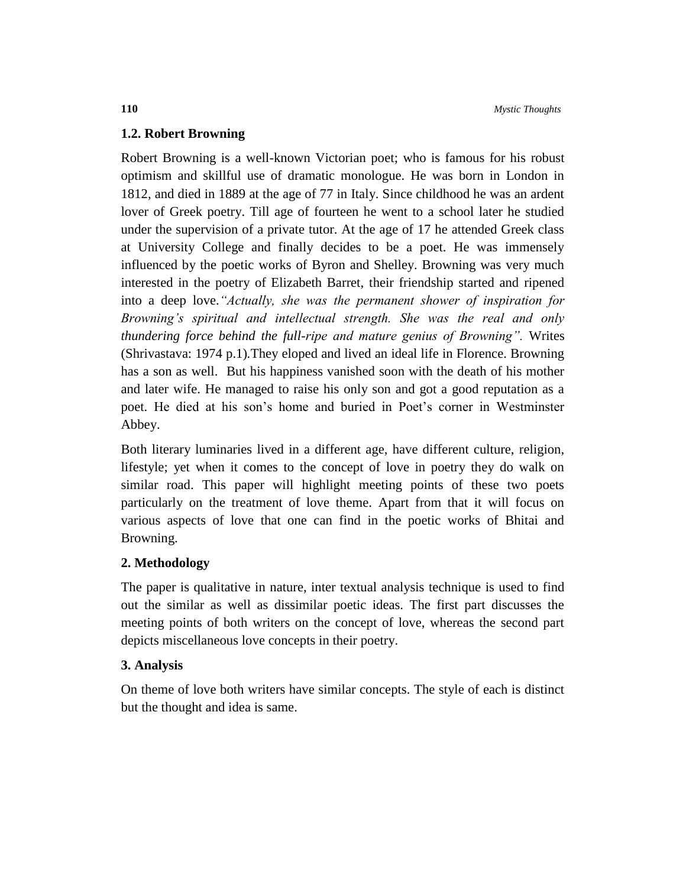# **1.2. Robert Browning**

Robert Browning is a well-known Victorian poet; who is famous for his robust optimism and skillful use of dramatic monologue. He was born in London in 1812, and died in 1889 at the age of 77 in Italy. Since childhood he was an ardent lover of Greek poetry. Till age of fourteen he went to a school later he studied under the supervision of a private tutor. At the age of 17 he attended Greek class at University College and finally decides to be a poet. He was immensely influenced by the poetic works of Byron and Shelley. Browning was very much interested in the poetry of Elizabeth Barret, their friendship started and ripened into a deep love.*"Actually, she was the permanent shower of inspiration for Browning's spiritual and intellectual strength. She was the real and only thundering force behind the full-ripe and mature genius of Browning".* Writes (Shrivastava: 1974 p.1)*.*They eloped and lived an ideal life in Florence. Browning has a son as well. But his happiness vanished soon with the death of his mother and later wife. He managed to raise his only son and got a good reputation as a poet. He died at his son's home and buried in Poet's corner in Westminster Abbey.

Both literary luminaries lived in a different age, have different culture, religion, lifestyle; yet when it comes to the concept of love in poetry they do walk on similar road. This paper will highlight meeting points of these two poets particularly on the treatment of love theme. Apart from that it will focus on various aspects of love that one can find in the poetic works of Bhitai and Browning.

# **2. Methodology**

The paper is qualitative in nature, inter textual analysis technique is used to find out the similar as well as dissimilar poetic ideas. The first part discusses the meeting points of both writers on the concept of love, whereas the second part depicts miscellaneous love concepts in their poetry.

# **3. Analysis**

On theme of love both writers have similar concepts. The style of each is distinct but the thought and idea is same.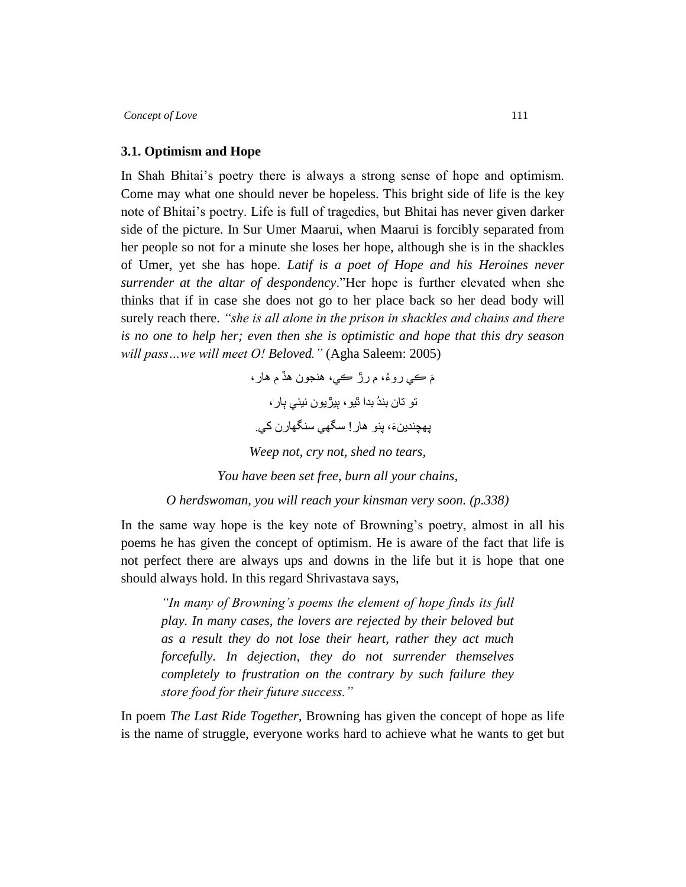#### **3.1. Optimism and Hope**

In Shah Bhitai's poetry there is always a strong sense of hope and optimism. Come may what one should never be hopeless. This bright side of life is the key note of Bhitai"s poetry. Life is full of tragedies, but Bhitai has never given darker side of the picture. In Sur Umer Maarui, when Maarui is forcibly separated from her people so not for a minute she loses her hope, although she is in the shackles of Umer, yet she has hope. *Latif is a poet of Hope and his Heroines never surrender at the altar of despondency*."Her hope is further elevated when she thinks that if in case she does not go to her place back so her dead body will surely reach there. *"she is all alone in the prison in shackles and chains and there is no one to help her; even then she is optimistic and hope that this dry season will pass…we will meet O! Beloved."* (Agha Saleem: 2005)

> مَ ڪي روءُ، م رڙ ڪي، هنجون هڏ م هار ، تو تان بندُ بدا ٿيو، بيڙيون نيئي ٻار، يهچندينءَ، پنو هار ! سگهي سنگهارن كي. *Weep not, cry not, shed no tears, You have been set free, burn all your chains,*

*O herdswoman, you will reach your kinsman very soon. (p.338)*

In the same way hope is the key note of Browning"s poetry, almost in all his poems he has given the concept of optimism. He is aware of the fact that life is not perfect there are always ups and downs in the life but it is hope that one should always hold. In this regard Shrivastava says,

*"In many of Browning's poems the element of hope finds its full play. In many cases, the lovers are rejected by their beloved but as a result they do not lose their heart, rather they act much forcefully. In dejection, they do not surrender themselves completely to frustration on the contrary by such failure they store food for their future success."*

In poem *The Last Ride Together,* Browning has given the concept of hope as life is the name of struggle, everyone works hard to achieve what he wants to get but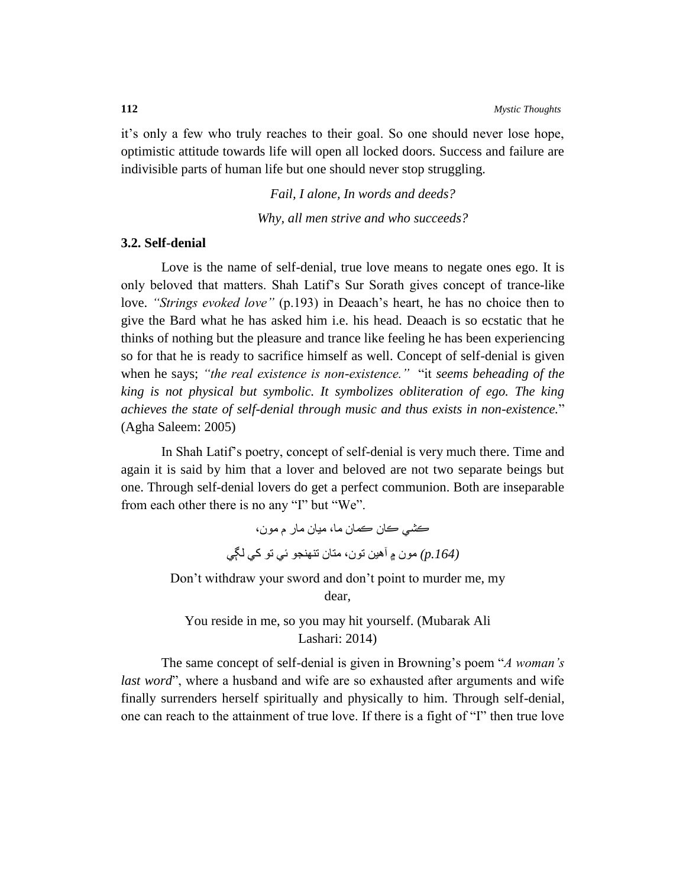it"s only a few who truly reaches to their goal. So one should never lose hope, optimistic attitude towards life will open all locked doors. Success and failure are indivisible parts of human life but one should never stop struggling.

*Fail, I alone, In words and deeds?*

*Why, all men strive and who succeeds?*

### **3.2. Self-denial**

Love is the name of self-denial, true love means to negate ones ego. It is only beloved that matters. Shah Latif"s Sur Sorath gives concept of trance-like love. *"Strings evoked love"* (p.193) in Deaach's heart, he has no choice then to give the Bard what he has asked him i.e. his head. Deaach is so ecstatic that he thinks of nothing but the pleasure and trance like feeling he has been experiencing so for that he is ready to sacrifice himself as well. Concept of self-denial is given when he says; *"the real existence is non-existence."* "it *seems beheading of the king is not physical but symbolic. It symbolizes obliteration of ego. The king achieves the state of self-denial through music and thus exists in non-existence.*" (Agha Saleem: 2005)

In Shah Latif"s poetry, concept of self-denial is very much there. Time and again it is said by him that a lover and beloved are not two separate beings but one. Through self-denial lovers do get a perfect communion. Both are inseparable from each other there is no any "I" but "We".

> ڪشي ڪبن ڪمبن مب، ميبن مبر م مىن، *(.164p (*مىن ۾ آهيه تىن، متبن تىهىجى ئي تى کي لڳي

Don"t withdraw your sword and don"t point to murder me, my dear,

You reside in me, so you may hit yourself. (Mubarak Ali Lashari: 2014)

The same concept of self-denial is given in Browning"s poem "*A woman's last word*", where a husband and wife are so exhausted after arguments and wife finally surrenders herself spiritually and physically to him. Through self-denial, one can reach to the attainment of true love. If there is a fight of "I" then true love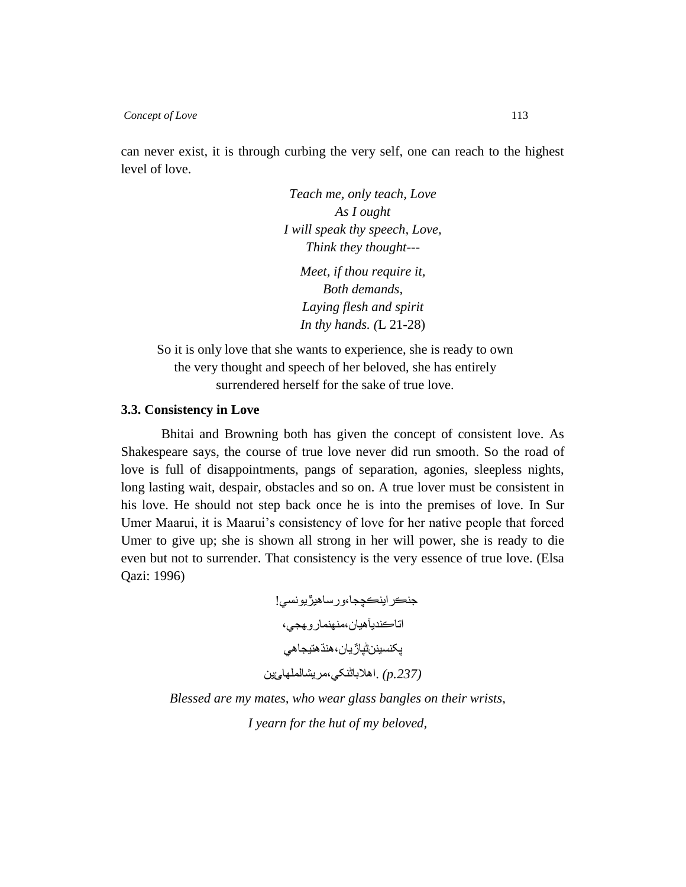can never exist, it is through curbing the very self, one can reach to the highest level of love.

> *Teach me, only teach, Love As I ought I will speak thy speech, Love, Think they thought--- Meet, if thou require it, Both demands, Laying flesh and spirit*

> > *In thy hands. (*L 21-28)

So it is only love that she wants to experience, she is ready to own the very thought and speech of her beloved, she has entirely surrendered herself for the sake of true love.

#### **3.3. Consistency in Love**

Bhitai and Browning both has given the concept of consistent love. As Shakespeare says, the course of true love never did run smooth. So the road of love is full of disappointments, pangs of separation, agonies, sleepless nights, long lasting wait, despair, obstacles and so on. A true lover must be consistent in his love. He should not step back once he is into the premises of love. In Sur Umer Maarui, it is Maarui's consistency of love for her native people that forced Umer to give up; she is shown all strong in her will power, she is ready to die even but not to surrender. That consistency is the very essence of true love. (Elsa Qazi: 1996)

> جنڪر اينڪچجا،ور ساهيڙيو نسي! اتاڪنديآهيان،منهنماروھجي، پکنسينن†ئياڙيان،هنڌهنيجاهي *(.237p (*.اهالببڻىکي،مريشبلملهبئيه

*Blessed are my mates, who wear glass bangles on their wrists, I yearn for the hut of my beloved,*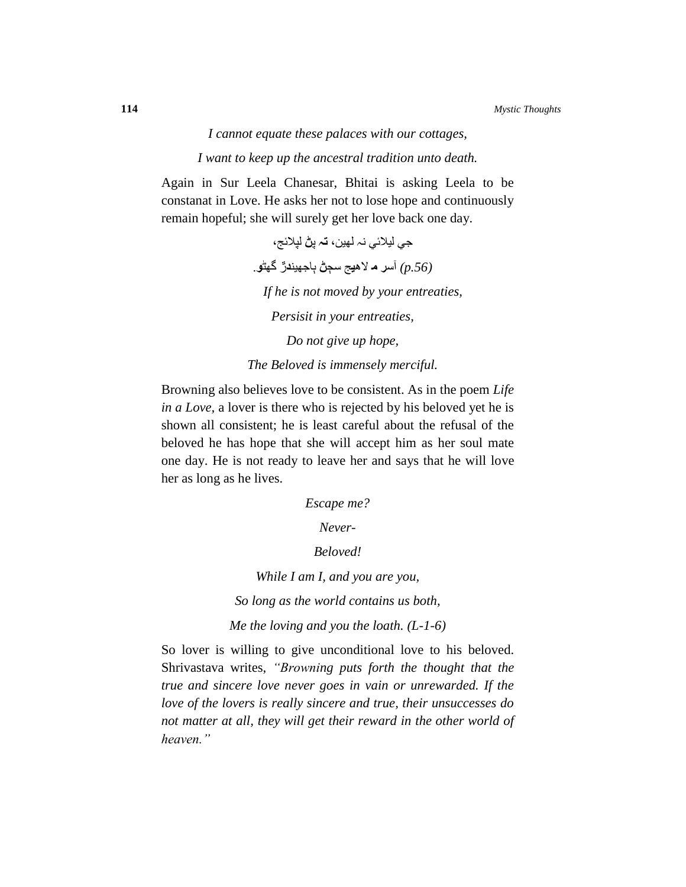# *I cannot equate these palaces with our cottages, I want to keep up the ancestral tradition unto death.*

Again in Sur Leela Chanesar, Bhitai is asking Leela to be constanat in Love. He asks her not to lose hope and continuously remain hopeful; she will surely get her love back one day.

> جي ليالئي ىہ لهيه، **تہ** پ**ڻ** لپالئج، *(.56p (*آس**ر م** لاه**ي**ج سڄ**ڻ** ٻبجهيى**د**ڙ گهڻ**و**. *If he is not moved by your entreaties, Persisit in your entreaties, Do not give up hope,*

*The Beloved is immensely merciful.*

Browning also believes love to be consistent. As in the poem *Life in a Love,* a lover is there who is rejected by his beloved yet he is shown all consistent; he is least careful about the refusal of the beloved he has hope that she will accept him as her soul mate one day. He is not ready to leave her and says that he will love her as long as he lives.

*Escape me?*

*Never-*

### *Beloved!*

*While I am I, and you are you,*

*So long as the world contains us both,*

*Me the loving and you the loath. (L-1-6)*

So lover is willing to give unconditional love to his beloved. Shrivastava writes, *"Browning puts forth the thought that the true and sincere love never goes in vain or unrewarded. If the love of the lovers is really sincere and true, their unsuccesses do not matter at all, they will get their reward in the other world of heaven."*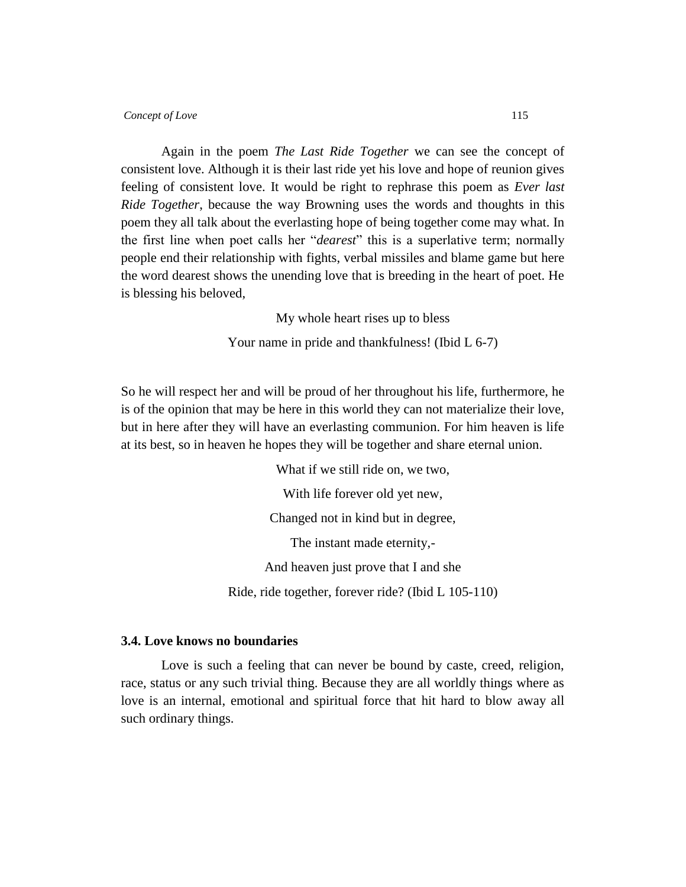Again in the poem *The Last Ride Together* we can see the concept of consistent love. Although it is their last ride yet his love and hope of reunion gives feeling of consistent love. It would be right to rephrase this poem as *Ever last Ride Together*, because the way Browning uses the words and thoughts in this poem they all talk about the everlasting hope of being together come may what. In the first line when poet calls her "*dearest*" this is a superlative term; normally people end their relationship with fights, verbal missiles and blame game but here the word dearest shows the unending love that is breeding in the heart of poet. He is blessing his beloved,

My whole heart rises up to bless

Your name in pride and thankfulness! (Ibid L 6-7)

So he will respect her and will be proud of her throughout his life, furthermore, he is of the opinion that may be here in this world they can not materialize their love, but in here after they will have an everlasting communion. For him heaven is life at its best, so in heaven he hopes they will be together and share eternal union.

> What if we still ride on, we two. With life forever old yet new, Changed not in kind but in degree, The instant made eternity,- And heaven just prove that I and she Ride, ride together, forever ride? (Ibid L 105-110)

#### **3.4. Love knows no boundaries**

Love is such a feeling that can never be bound by caste, creed, religion, race, status or any such trivial thing. Because they are all worldly things where as love is an internal, emotional and spiritual force that hit hard to blow away all such ordinary things.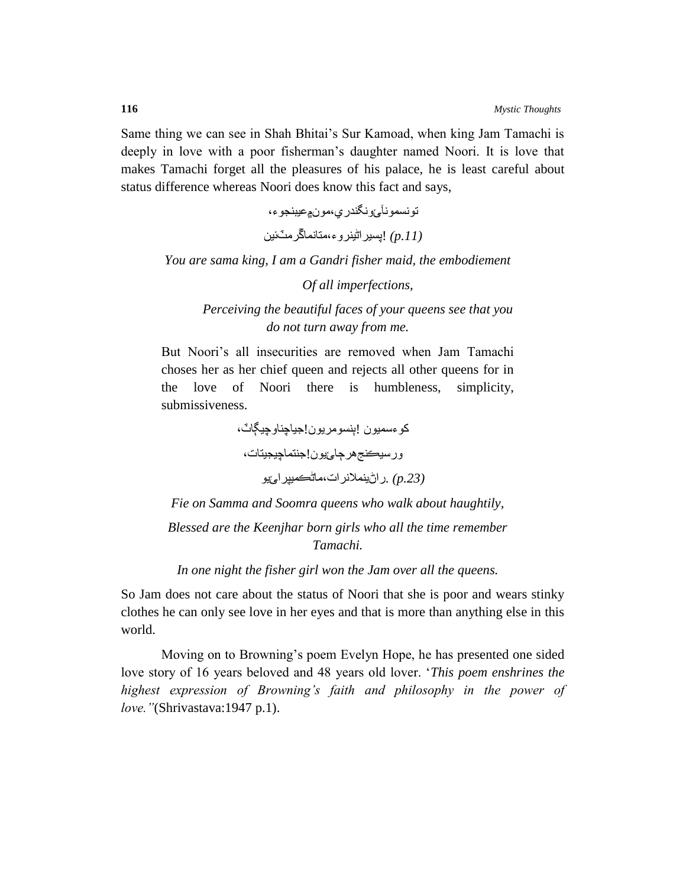Same thing we can see in Shah Bhitai's Sur Kamoad, when king Jam Tamachi is deeply in love with a poor fisherman's daughter named Noori. It is love that makes Tamachi forget all the pleasures of his palace, he is least careful about status difference whereas Noori does know this fact and says,

> تو نسمو نآ<sub>ء تُ</sub>و نـگندر ي،مو ن<u>۾</u>عيبنجو ء، *(.11p*! *(*پسيراڻيىروء،متبومبڱرمٽئيه

*You are sama king, I am a Gandri fisher maid, the embodiement*

*Of all imperfections,*

*Perceiving the beautiful faces of your queens see that you do not turn away from me.* 

But Noori's all insecurities are removed when Jam Tamachi choses her as her chief queen and rejects all other queens for in the love of Noori there is humbleness, simplicity, submissiveness.

> كوءسميون !ٻنسومريون!جياچناوچيڳاٽ، ورسيكنجهرجائيون!جنتماچيجيتات، *(.23p (*.راڻيىمالورات،مبڻڪميپرائيى

*Fie on Samma and Soomra queens who walk about haughtily,*

*Blessed are the Keenjhar born girls who all the time remember Tamachi.*

*In one night the fisher girl won the Jam over all the queens.*

So Jam does not care about the status of Noori that she is poor and wears stinky clothes he can only see love in her eyes and that is more than anything else in this world.

Moving on to Browning"s poem Evelyn Hope, he has presented one sided love story of 16 years beloved and 48 years old lover. "*This poem enshrines the highest expression of Browning's faith and philosophy in the power of love."*(Shrivastava:1947 p.1).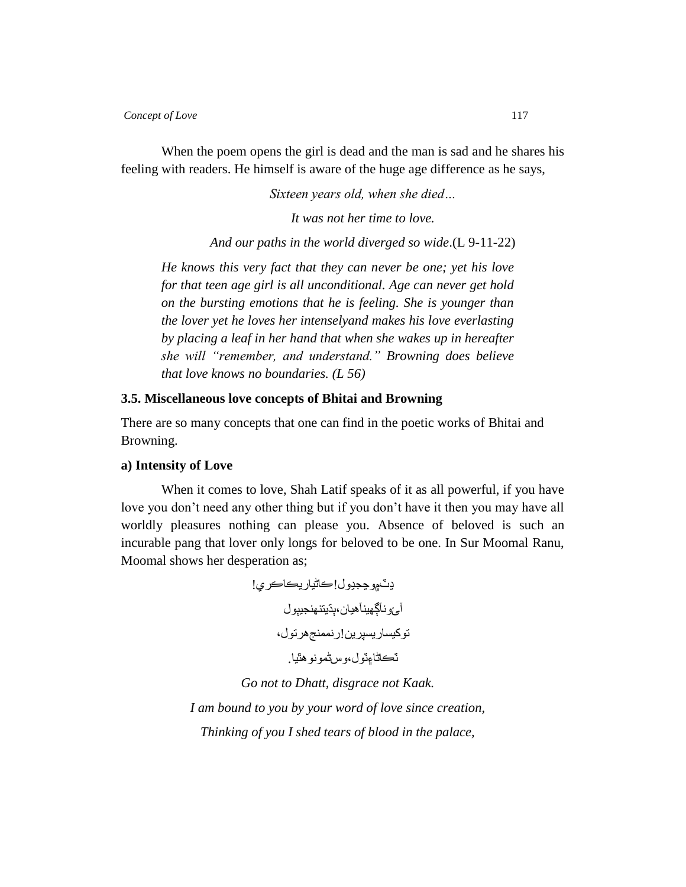When the poem opens the girl is dead and the man is sad and he shares his feeling with readers. He himself is aware of the huge age difference as he says,

*Sixteen years old, when she died…*

*It was not her time to love.*

*And our paths in the world diverged so wide*.(L 9-11-22)

*He knows this very fact that they can never be one; yet his love for that teen age girl is all unconditional. Age can never get hold on the bursting emotions that he is feeling. She is younger than the lover yet he loves her intenselyand makes his love everlasting by placing a leaf in her hand that when she wakes up in hereafter she will "remember, and understand." Browning does believe that love knows no boundaries. (L 56)*

#### **3.5. Miscellaneous love concepts of Bhitai and Browning**

There are so many concepts that one can find in the poetic works of Bhitai and Browning.

#### **a) Intensity of Love**

When it comes to love, Shah Latif speaks of it as all powerful, if you have love you don't need any other thing but if you don't have it then you may have all worldly pleasures nothing can please you. Absence of beloved is such an incurable pang that lover only longs for beloved to be one. In Sur Moomal Ranu, Moomal shows her desperation as;

> يٽ۾وچجيول!ڪاڻياريڪاڪري! آئ ونآڳهينآهيان،ٻڌيتنهنجيٻول توکيساريسپرين!رنممنجهرتول، ٽڪاڻاءِٽول،وس اڻمونو هٿيا.

*Go not to Dhatt, disgrace not Kaak. I am bound to you by your word of love since creation, Thinking of you I shed tears of blood in the palace,*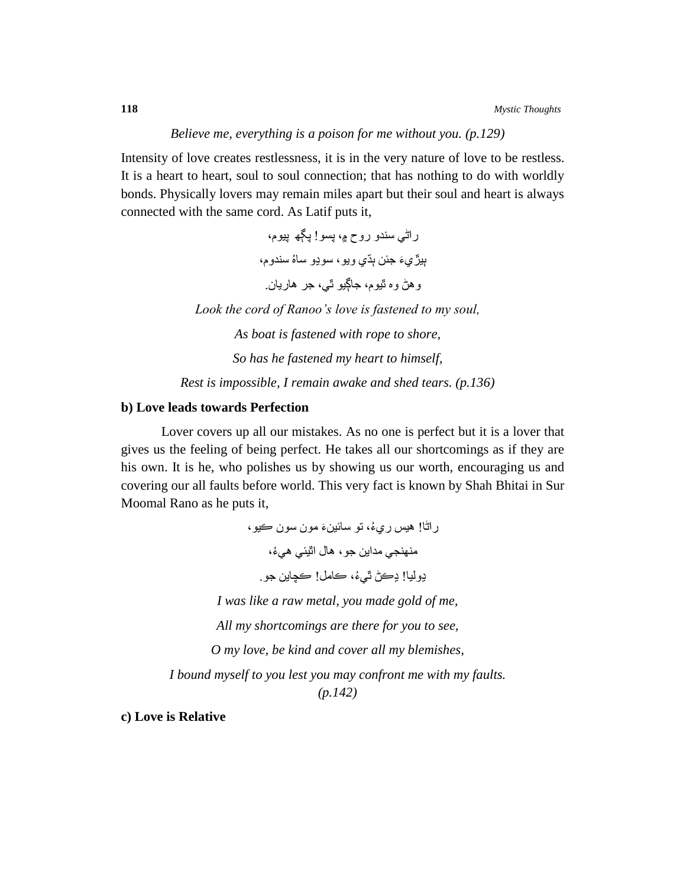#### *Believe me, everything is a poison for me without you. (p.129)*

Intensity of love creates restlessness, it is in the very nature of love to be restless. It is a heart to heart, soul to soul connection; that has nothing to do with worldly bonds. Physically lovers may remain miles apart but their soul and heart is always connected with the same cord. As Latif puts it,

> ر اٿي سندو روح ۾، پسو! پڳھ ٻيوم، ٻيڙ*يءَ جئن ٻڌي و*يو، سوڍو ساهُ سندوم، وهڻ وه ٿيوم، جاڳيو ٿي، جر هاريان<sub>.</sub> *Look the cord of Ranoo's love is fastened to my soul, As boat is fastened with rope to shore, So has he fastened my heart to himself, Rest is impossible, I remain awake and shed tears. (p.136)*

### **b) Love leads towards Perfection**

Lover covers up all our mistakes. As no one is perfect but it is a lover that gives us the feeling of being perfect. He takes all our shortcomings as if they are his own. It is he, who polishes us by showing us our worth, encouraging us and covering our all faults before world. This very fact is known by Shah Bhitai in Sur Moomal Rano as he puts it,

راڻب! هيس ري ُء، تى سبئيه َء مىن سىن ڪيى، منهنجي مداين جو ، هال اٺٽيئي هيءُ، ڍوليب! ڍڪڻ ٿي ُء، ڪبمل! ڪچبيه جى. *I was like a raw metal, you made gold of me, All my shortcomings are there for you to see, O my love, be kind and cover all my blemishes, I bound myself to you lest you may confront me with my faults. (p.142)*

**c) Love is Relative**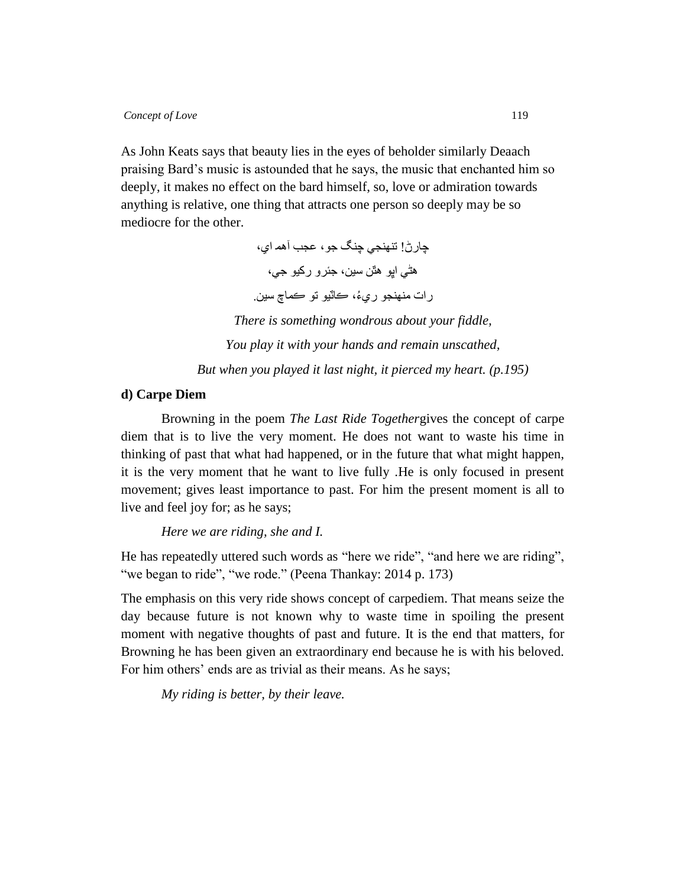As John Keats says that beauty lies in the eyes of beholder similarly Deaach praising Bard"s music is astounded that he says, the music that enchanted him so deeply, it makes no effect on the bard himself, so, love or admiration towards anything is relative, one thing that attracts one person so deeply may be so mediocre for the other.

> چبرڻ! تىهىجي چىگ جى، عجب آهم اي، هڻي اڀو هٿن سين، جئرو رکيو جي، رات منهنجو ريءُ، ڪاٽيو تو ڪماچ سين<sub>.</sub> *There is something wondrous about your fiddle, You play it with your hands and remain unscathed, But when you played it last night, it pierced my heart. (p.195)*

# **d) Carpe Diem**

Browning in the poem *The Last Ride Together*gives the concept of carpe diem that is to live the very moment. He does not want to waste his time in thinking of past that what had happened, or in the future that what might happen, it is the very moment that he want to live fully .He is only focused in present movement; gives least importance to past. For him the present moment is all to live and feel joy for; as he says;

*Here we are riding, she and I.*

He has repeatedly uttered such words as "here we ride", "and here we are riding", "we began to ride", "we rode." (Peena Thankay: 2014 p. 173)

The emphasis on this very ride shows concept of carpediem. That means seize the day because future is not known why to waste time in spoiling the present moment with negative thoughts of past and future. It is the end that matters, for Browning he has been given an extraordinary end because he is with his beloved. For him others' ends are as trivial as their means. As he says;

*My riding is better, by their leave.*